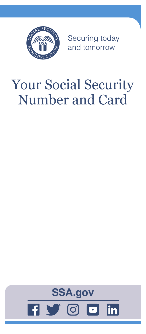

Securing today<br>and tomorrow

# Your Social Security Number and Card

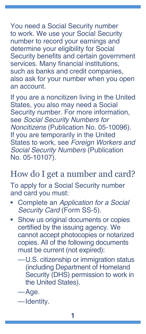You need a Social Security number to work. We use your Social Security number to record your earnings and determine your eligibility for Social Security benefits and certain government services. Many financial institutions, such as banks and credit companies, also ask for your number when you open an account.

If you are a noncitizen living in the United States, you also may need a Social Security number. For more information, see *[Social Security Numbers for](https://www.ssa.gov/pubs/EN-05-10096.pdf)  Noncitizens* [\(Publication No. 05-10096\).](https://www.ssa.gov/pubs/EN-05-10096.pdf) If you are temporarily in the United States to work, see *[Foreign Workers and](https://www.ssa.gov/pubs/EN-05-10107.pdf)  [Social Security Numbers](https://www.ssa.gov/pubs/EN-05-10107.pdf)* (Publication [No. 05-10107\).](https://www.ssa.gov/pubs/EN-05-10107.pdf)

#### How do I get a number and card?

To apply for a Social Security number and card you must:

- Complete an *[Application for a Social](https://www.ssa.gov/forms/ss-5.pdf)  [Security Card](https://www.ssa.gov/forms/ss-5.pdf)* (Form SS-5).
- Show us original documents or copies certified by the issuing agency. We cannot accept photocopies or notarized copies. All of the following documents must be current (not expired):
	- —U.S. citizenship or immigration status (including Department of Homeland Security (DHS) permission to work in the United States).
	- —Age.
	- —Identity.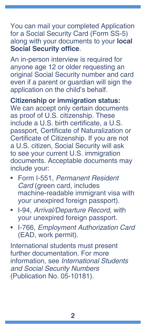You can mail your completed Application for a Social Security Card (Form SS-5) along with your documents to your **[local](https://secure.ssa.gov/ICON/main.jsp)  [Social Security office](https://secure.ssa.gov/ICON/main.jsp)**.

An in-person interview is required for anyone age 12 or older requesting an original Social Security number and card even if a parent or guardian will sign the application on the child's behalf.

**Citizenship or immigration status:** 

We can accept only certain documents as proof of U.S. citizenship. These include a U.S. birth certificate, a U.S. passport, Certificate of Naturalization or Certificate of Citizenship. If you are not a U.S. citizen, Social Security will ask to see your current U.S. immigration documents. Acceptable documents may include your:

- Form I-551, *Permanent Resident Card* (green card, includes machine-readable immigrant visa with your unexpired foreign passport).
- I-94, *Arrival/Departure Record*, with your unexpired foreign passport.
- I-766, *Employment Authorization Card* (EAD, work permit).

International students must present further documentation. For more information, see *[International Students](https://www.ssa.gov/pubs/EN-05-10181.pdf)  [and Social Security Numbers](https://www.ssa.gov/pubs/EN-05-10181.pdf)* [\(Publication No. 05-10181\)](https://www.ssa.gov/pubs/EN-05-10181.pdf).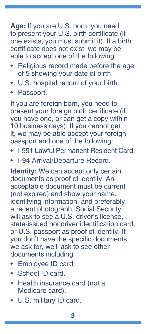**Age:** If you are U.S. born, you need to present your U.S. birth certificate (if one exists, you must submit it). If a birth certificate does not exist, we may be able to accept one of the following:

- Religious record made before the age of 5 showing your date of birth.
- U.S. hospital record of your birth.
- Passport.

If you are foreign born, you need to present your foreign birth certificate (if you have one, or can get a copy within 10 business days). If you cannot get it, we may be able accept your foreign passport and one of the following:

- I-551 Lawful Permanent Resident Card.
- I-94 Arrival/Departure Record.

**Identity:** We can accept only certain documents as proof of identity. An acceptable document must be current (not expired) and show your name, identifying information, and preferably a recent photograph. Social Security will ask to see a U.S. driver's license, state-issued nondriver identification card, or U.S. passport as proof of identity. If you don't have the specific documents we ask for, we'll ask to see other documents including:

- Employee ID card.
- School ID card.
- Health insurance card (not a Medicare card).
- U.S. military ID card.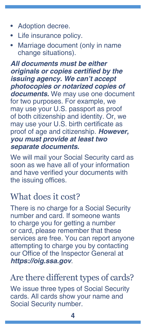- Adoption decree.
- Life insurance policy.
- Marriage document (only in name change situations).

*All documents must be either*  **originals or copies certified by the issuing agency. We can't accept**  *photocopies or notarized copies of*  **documents.** We may use one document for two purposes. For example, we may use your U.S. passport as proof of both citizenship and identity. Or, we may use your U.S. birth certificate as proof of age and citizenship. *However,*  **you must provide at least two separate documents.**

We will mail your Social Security card as soon as we have all of your information and have verified your documents with the issuing offices.

#### What does it cost?

There is no charge for a Social Security number and card. If someone wants to charge you for getting a number or card, please remember that these services are free. You can report anyone attempting to charge you by contacting our Office of the Inspector General at **<https://oig.ssa.gov>**.

## Are there different types of cards?

We issue three types of Social Security cards. All cards show your name and Social Security number.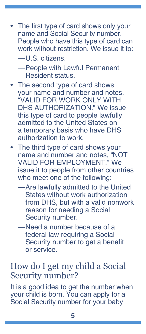- The first type of card shows only your name and Social Security number. People who have this type of card can work without restriction. We issue it to:
	- —U.S. citizens.

—People with Lawful Permanent Resident status.

- The second type of card shows your name and number and notes, "VALID FOR WORK ONLY WITH DHS AUTHORIZATION." We issue this type of card to people lawfully admitted to the United States on a temporary basis who have DHS authorization to work.
- The third type of card shows your name and number and notes, "NOT VALID FOR EMPLOYMENT." We issue it to people from other countries who meet one of the following:
	- —Are lawfully admitted to the United States without work authorization from DHS, but with a valid nonwork reason for needing a Social Security number.
	- —Need a number because of a federal law requiring a Social Security number to get a benefit or service.

#### How do I get my child a Social Security number?

It is a good idea to get the number when your child is born. You can apply for a Social Security number for your baby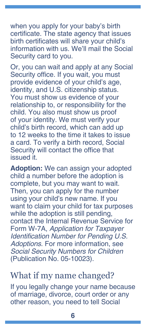when you apply for your baby's birth certificate. The state agency that issues birth certificates will share your child's information with us. We'll mail the Social Security card to you.

Or, you can wait and apply at any Social Security office. If you wait, you must provide evidence of your child's age, identity, and U.S. citizenship status. You must show us evidence of your relationship to, or responsibility for the child. You also must show us proof of your identity. We must verify your child's birth record, which can add up to 12 weeks to the time it takes to issue a card. To verify a birth record, Social Security will contact the office that issued it.

**Adoption:** We can assign your adopted child a number before the adoption is complete, but you may want to wait. Then, you can apply for the number using your child's new name. If you want to claim your child for tax purposes while the adoption is still pending, contact the Internal Revenue Service for Form W-7A, *[Application for Taxpayer](https://www.irs.gov/pub/irs-pdf/fw7a.pdf)*  [Identification Number for Pending U.S.](https://www.irs.gov/pub/irs-pdf/fw7a.pdf)  *[Adoptions](https://www.irs.gov/pub/irs-pdf/fw7a.pdf)*. For more information, see *[Social Security Numbers for Children](https://www.ssa.gov/pubs/EN-05-10023.pdf)* [\(Publication No. 05-10023\)](https://www.ssa.gov/pubs/EN-05-10023.pdf).

#### What if my name changed?

If you legally change your name because of marriage, divorce, court order or any other reason, you need to tell Social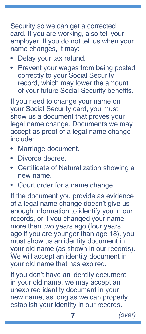Security so we can get a corrected card. If you are working, also tell your employer. If you do not tell us when your name changes, it may:

- Delay your tax refund.
- Prevent your wages from being posted correctly to your Social Security record, which may lower the amount of your future Social Security benefits.

If you need to change your name on your Social Security card, you must show us a document that proves your legal name change. Documents we may accept as proof of a legal name change include:

- Marriage document.
- Divorce decree.
- Certificate of Naturalization showing a new name.
- Court order for a name change.

If the document you provide as evidence of a legal name change doesn't give us enough information to identify you in our records, or if you changed your name more than two years ago (four years ago if you are younger than age 18), you must show us an identity document in your old name (as shown in our records). We will accept an identity document in your old name that has expired.

If you don't have an identity document in your old name, we may accept an unexpired identity document in your new name, as long as we can properly establish your identity in our records.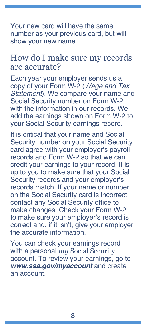Your new card will have the same number as your previous card, but will show your new name.

#### How do I make sure my records are accurate?

Each year your employer sends us a copy of your Form W-2 (*Wage and Tax Statement*). We compare your name and Social Security number on Form W-2 with the information in our records. We add the earnings shown on Form W-2 to your Social Security earnings record.

It is critical that your name and Social Security number on your Social Security card agree with your employer's payroll records and Form W-2 so that we can credit your earnings to your record. It is up to you to make sure that your Social Security records and your employer's records match. If your name or number on the Social Security card is incorrect, contact any Social Security office to make changes. Check your Form W-2 to make sure your employer's record is correct and, if it isn't, give your employer the accurate information.

You can check your earnings record with a personal *my* [Social Security](https://www.ssa.gov/myaccount/) [account](https://www.ssa.gov/myaccount/). To review your earnings, go to **[www.ssa.gov/myaccount](https://www.ssa.gov/myaccount)** and create an account.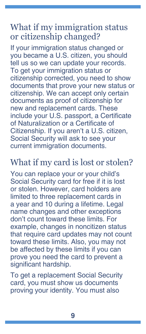### What if my immigration status or citizenship changed?

If your immigration status changed or you became a U.S. citizen, you should tell us so we can update your records. To get your immigration status or citizenship corrected, you need to show documents that prove your new status or citizenship. We can accept only certain documents as proof of citizenship for new and replacement cards. These include your U.S. passport, a Certificate of Naturalization or a Certificate of Citizenship. If you aren't a U.S. citizen, Social Security will ask to see your current immigration documents.

#### What if my card is lost or stolen?

You can replace your or your child's Social Security card for free if it is lost or stolen. However, card holders are limited to three replacement cards in a year and 10 during a lifetime. Legal name changes and other exceptions don't count toward these limits. For example, changes in noncitizen status that require card updates may not count toward these limits. Also, you may not be affected by these limits if you can prove you need the card to prevent a significant hardship.

To get a replacement Social Security card, you must show us documents proving your identity. You must also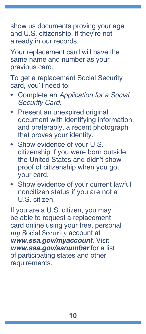show us documents proving your age and U.S. citizenship, if they're not already in our records.

Your replacement card will have the same name and number as your previous card.

To get a replacement Social Security card, you'll need to:

- Complete an *[Application for a Social](https://www.ssa.gov/forms/ss-5.pdf)  [Security Card](https://www.ssa.gov/forms/ss-5.pdf)*.
- Present an unexpired original document with identifying information, and preferably, a recent photograph that proves your identity.
- Show evidence of your U.S. citizenship if you were born outside the United States and didn't show proof of citizenship when you got your card.
- Show evidence of your current lawful noncitizen status if you are not a U.S. citizen.

If you are a U.S. citizen, you may be able to request a replacement card online using your free, personal *my* [Social Security](https://www.ssa.gov/myaccount/) account at **[www.ssa.gov/myaccount](https://www.ssa.gov/myaccount/)**. Visit **[www.ssa.gov/ssnumber](https://www.ssa.gov/ssnumber/)** for a list of participating states and other requirements.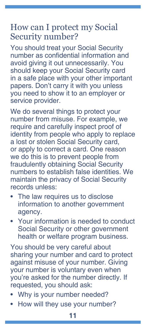#### How can I protect my Social Security number?

You should treat your Social Security number as confidential information and avoid giving it out unnecessarily. You should keep your Social Security card in a safe place with your other important papers. Don't carry it with you unless you need to show it to an employer or service provider.

We do several things to protect your number from misuse. For example, we require and carefully inspect proof of identity from people who apply to replace a lost or stolen Social Security card, or apply to correct a card. One reason we do this is to prevent people from fraudulently obtaining Social Security numbers to establish false identities. We maintain the privacy of Social Security records unless:

- The law requires us to disclose information to another government agency.
- Your information is needed to conduct Social Security or other government health or welfare program business.

You should be very careful about sharing your number and card to protect against misuse of your number. Giving your number is voluntary even when you're asked for the number directly. If requested, you should ask:

- Why is your number needed?
- How will they use your number?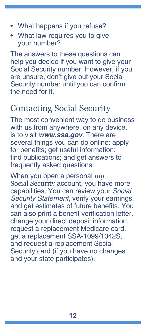- What happens if you refuse?
- What law requires you to give your number?

The answers to these questions can help you decide if you want to give your Social Security number. However, if you are unsure, don't give out your Social Security number until you can confirm the need for it.

## Contacting Social Security

The most convenient way to do business with us from anywhere, on any device, is to visit **[www.ssa.gov](https://www.ssa.gov)**. There are several things you can do online: apply for benefits; get useful information; find [publications](https://www.ssa.gov/pubs/); and get answers to [frequently asked questions](https://faq.ssa.gov/).

When you open a personal *[my](https://www.ssa.gov/myaccount/)* [Social Security](https://www.ssa.gov/myaccount/) account, you have more capabilities. You can review your *Social Security Statement*, verify your earnings, and get estimates of future benefits. You can also print a benefit verification letter, change your direct deposit information, request a replacement Medicare card, get a replacement SSA-1099/1042S, and request a replacement Social Security card (if you have no changes and your state participates).